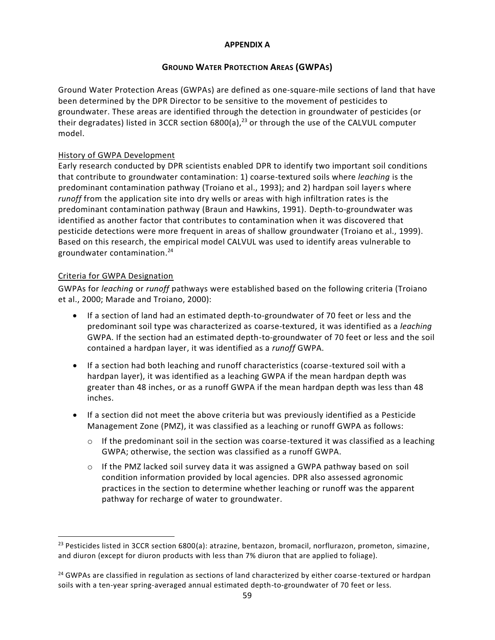### **APPENDIX A**

# **GROUND WATER PROTECTION AREAS (GWPAS)**

Ground Water Protection Areas (GWPAs) are defined as one-square-mile sections of land that have been determined by the DPR Director to be sensitive to the movement of pesticides to groundwater. These areas are identified through the detection in groundwater of pesticides (or their degradates) listed in 3CCR section  $6800(a)$ ,<sup>23</sup> or through the use of the CALVUL computer model.

# History of GWPA Development

Early research conducted by DPR scientists enabled DPR to identify two important soil conditions that contribute to groundwater contamination: 1) coarse-textured soils where *leaching* is the predominant contamination pathway (Troiano et al., 1993); and 2) hardpan soil layer s where *runoff* from the application site into dry wells or areas with high infiltration rates is the predominant contamination pathway (Braun and Hawkins, 1991). Depth-to-groundwater was identified as another factor that contributes to contamination when it was discovered that pesticide detections were more frequent in areas of shallow groundwater (Troiano et al., 1999). Based on this research, the empirical model CALVUL was used to identify areas vulnerable to groundwater contamination.<sup>24</sup>

# Criteria for GWPA Designation

 $\overline{\phantom{a}}$ 

GWPAs for *leaching* or *runoff* pathways were established based on the following criteria (Troiano et al., 2000; Marade and Troiano, 2000):

- If a section of land had an estimated depth-to-groundwater of 70 feet or less and the predominant soil type was characterized as coarse-textured, it was identified as a *leaching* GWPA. If the section had an estimated depth-to-groundwater of 70 feet or less and the soil contained a hardpan layer, it was identified as a *runoff* GWPA.
- If a section had both leaching and runoff characteristics (coarse-textured soil with a hardpan layer), it was identified as a leaching GWPA if the mean hardpan depth was greater than 48 inches, or as a runoff GWPA if the mean hardpan depth was less than 48 inches.
- If a section did not meet the above criteria but was previously identified as a Pesticide Management Zone (PMZ), it was classified as a leaching or runoff GWPA as follows:
	- $\circ$  If the predominant soil in the section was coarse-textured it was classified as a leaching GWPA; otherwise, the section was classified as a runoff GWPA.
	- $\circ$  If the PMZ lacked soil survey data it was assigned a GWPA pathway based on soil condition information provided by local agencies. DPR also assessed agronomic practices in the section to determine whether leaching or runoff was the apparent pathway for recharge of water to groundwater.

<sup>&</sup>lt;sup>23</sup> Pesticides listed in 3CCR section 6800(a): atrazine, bentazon, bromacil, norflurazon, prometon, simazine, and diuron (except for diuron products with less than 7% diuron that are applied to foliage).

<sup>&</sup>lt;sup>24</sup> GWPAs are classified in regulation as sections of land characterized by either coarse-textured or hardpan soils with a ten-year spring-averaged annual estimated depth-to-groundwater of 70 feet or less.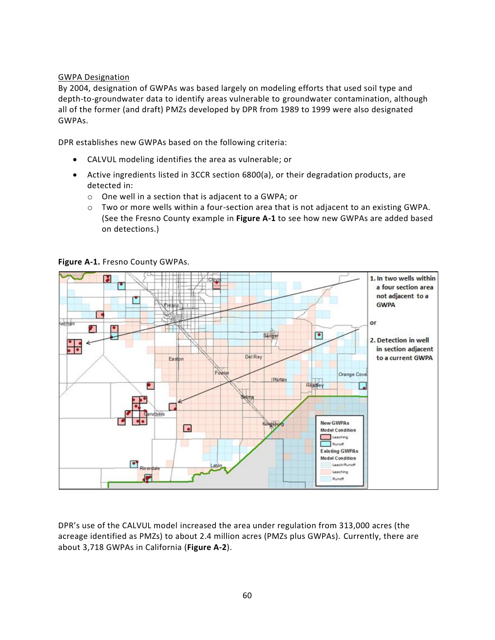#### GWPA Designation

By 2004, designation of GWPAs was based largely on modeling efforts that used soil type and depth-to-groundwater data to identify areas vulnerable to groundwater contamination, although all of the former (and draft) PMZs developed by DPR from 1989 to 1999 were also designated GWPAs.

DPR establishes new GWPAs based on the following criteria:

- CALVUL modeling identifies the area as vulnerable; or
- Active ingredients listed in 3CCR section 6800(a), or their degradation products, are detected in:
	- o One well in a section that is adjacent to a GWPA; or
	- o Two or more wells within a four-section area that is not adjacent to an existing GWPA. (See the Fresno County example in **Figure A-1** to see how new GWPAs are added based on detections.)



**Figure A-1.** Fresno County GWPAs.

DPR's use of the CALVUL model increased the area under regulation from 313,000 acres (the acreage identified as PMZs) to about 2.4 million acres (PMZs plus GWPAs). Currently, there are about 3,718 GWPAs in California (**Figure A-2**).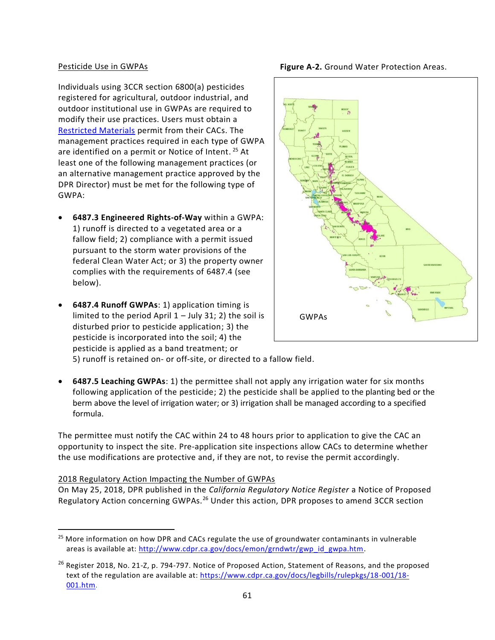#### Pesticide Use in GWPAs

Individuals using 3CCR section 6800(a) pesticides registered for agricultural, outdoor industrial, and outdoor institutional use in GWPAs are required to modify their use practices. Users must obtain a [Restricted Materials](http://www.cdpr.ca.gov/docs/enforce/permitting.htm) permit from their CACs. The management practices required in each type of GWPA are identified on a permit or Notice of Intent.<sup>25</sup> At least one of the following management practices (or an alternative management practice approved by the DPR Director) must be met for the following type of GWPA:

- **6487.3 Engineered Rights-of-Way** within a GWPA: 1) runoff is directed to a vegetated area or a fallow field; 2) compliance with a permit issued pursuant to the storm water provisions of the federal Clean Water Act; or 3) the property owner complies with the requirements of 6487.4 (see below).
- **6487.4 Runoff GWPAs**: 1) application timing is limited to the period April 1 – July 31; 2) the soil is disturbed prior to pesticide application; 3) the pesticide is incorporated into the soil; 4) the pesticide is applied as a band treatment; or



5) runoff is retained on- or off-site, or directed to a fallow field.

 **6487.5 Leaching GWPAs**: 1) the permittee shall not apply any irrigation water for six months following application of the pesticide; 2) the pesticide shall be applied to the planting bed or the berm above the level of irrigation water; or 3) irrigation shall be managed according to a specified formula.

The permittee must notify the CAC within 24 to 48 hours prior to application to give the CAC an opportunity to inspect the site. Pre-application site inspections allow CACs to determine whether the use modifications are protective and, if they are not, to revise the permit accordingly.

#### 2018 Regulatory Action Impacting the Number of GWPAs

 $\overline{\phantom{a}}$ 

On May 25, 2018, DPR published in the *California Regulatory Notice Register* a Notice of Proposed Regulatory Action concerning GWPAs.<sup>26</sup> Under this action, DPR proposes to amend 3CCR section

**Figure A-2.** Ground Water Protection Areas.

<sup>&</sup>lt;sup>25</sup> More information on how DPR and CACs regulate the use of groundwater contaminants in vulnerable areas is available at: [http://www.cdpr.ca.gov/docs/emon/grndwtr/gwp\\_id\\_gwpa.htm.](http://www.cdpr.ca.gov/docs/emon/grndwtr/gwp_id_gwpa.htm)

<sup>&</sup>lt;sup>26</sup> Register 2018, No. 21-Z, p. 794-797. Notice of Proposed Action, Statement of Reasons, and the proposed text of the regulation are available at: [https://www.cdpr.ca.gov/docs/legbills/rulepkgs/18-001/18-](https://www.cdpr.ca.gov/docs/legbills/rulepkgs/18-001/18-001.htm) [001.htm.](https://www.cdpr.ca.gov/docs/legbills/rulepkgs/18-001/18-001.htm)